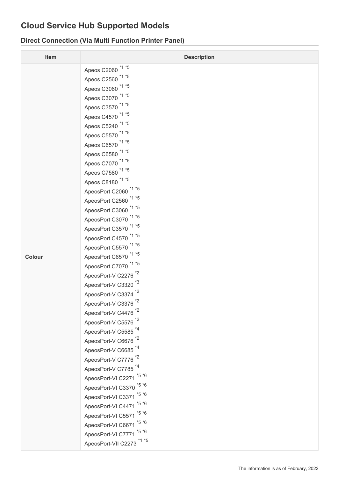## **Cloud Service Hub Supported Models**

## **Direct Connection (Via Multi Function Printer Panel)**

| Item   | <b>Description</b>                                                                                                                                                                                                                                                                                                                                                                                                                                                                                                                                                                                                                                                                                                                                                                                                                                                                                                                                                                                                                                                                                                                                  |
|--------|-----------------------------------------------------------------------------------------------------------------------------------------------------------------------------------------------------------------------------------------------------------------------------------------------------------------------------------------------------------------------------------------------------------------------------------------------------------------------------------------------------------------------------------------------------------------------------------------------------------------------------------------------------------------------------------------------------------------------------------------------------------------------------------------------------------------------------------------------------------------------------------------------------------------------------------------------------------------------------------------------------------------------------------------------------------------------------------------------------------------------------------------------------|
| Colour | Apeos C2060 <sup>*1*5</sup><br>Apeos C2560 <sup>*1 *5</sup><br>Apeos C3060 <sup>*1*5</sup><br>Apeos C3070 <sup>*1*5</sup><br>Apeos C3570 <sup>*1*5</sup><br>Apeos C4570 <sup>*1 *5</sup><br>Apeos C5240 <sup>*1 *5</sup><br>Apeos C5570 <sup>*1*5</sup><br>Apeos C6570 <sup>*1*5</sup><br>Apeos C6580 <sup>*1*5</sup><br>Apeos C7070 <sup>*1 *5</sup><br>Apeos C7580 <sup>*1 *5</sup><br>Apeos C8180 <sup>*1*5</sup><br>ApeosPort C2060 <sup>*1</sup> *5<br>ApeosPort C2560 <sup>*1*5</sup><br>ApeosPort C3060 <sup>*1*5</sup><br>ApeosPort C3070 <sup>*1*5</sup><br>ApeosPort C3570 <sup>*1*5</sup><br>ApeosPort C4570 <sup>*1 *5</sup><br>ApeosPort C5570 <sup>*1 *5</sup><br>ApeosPort C6570 <sup>*1*5</sup><br>ApeosPort C7070 <sup>*1*5</sup><br>ApeosPort-V C2276 <sup>*2</sup><br>ApeosPort-V C3320 <sup>*3</sup><br>ApeosPort-V C3374 <sup>*2</sup><br>ApeosPort-V C3376 <sup>*2</sup><br>ApeosPort-V C4476 <sup>*2</sup><br>ApeosPort-V C5576 <sup>*2</sup><br>ApeosPort-V C5585 <sup>*4</sup><br>ApeosPort-V C6676 <sup>*2</sup><br>ApeosPort-V C6685 <sup>*4</sup><br>ApeosPort-V C7776 <sup>*2</sup><br>ApeosPort-V C7785 <sup>*4</sup> |
|        |                                                                                                                                                                                                                                                                                                                                                                                                                                                                                                                                                                                                                                                                                                                                                                                                                                                                                                                                                                                                                                                                                                                                                     |
|        | ApeosPort-VI C2271 *5 *6<br>ApeosPort-VI C3370 <sup>*5 *6</sup><br>ApeosPort-VI C3371 *5 *6<br>ApeosPort-VI C4471 *5 *6<br>ApeosPort-VI C5571 *5 *6                                                                                                                                                                                                                                                                                                                                                                                                                                                                                                                                                                                                                                                                                                                                                                                                                                                                                                                                                                                                 |
|        | ApeosPort-VI C6671 *5 *6<br>ApeosPort-VI C7771 *5 *6<br>ApeosPort-VII C2273 <sup>*1 *5</sup>                                                                                                                                                                                                                                                                                                                                                                                                                                                                                                                                                                                                                                                                                                                                                                                                                                                                                                                                                                                                                                                        |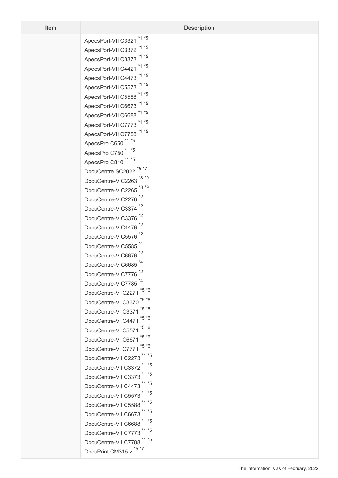| $*1$<br>*5                          |  |  |
|-------------------------------------|--|--|
| ApeosPort-VII C3321<br>*1<br>*5     |  |  |
| ApeosPort-VII C3372<br>$*1$<br>*5   |  |  |
| ApeosPort-VII C3373<br>$*5$<br>*1   |  |  |
| ApeosPort-VII C4421<br>*5<br>*1     |  |  |
| ApeosPort-VII C4473<br>$*5$<br>$*1$ |  |  |
| ApeosPort-VII C5573<br>*1           |  |  |
| *5<br>ApeosPort-VII C5588           |  |  |
| *5<br>*1<br>ApeosPort-VII C6673     |  |  |
| *1<br>*5<br>ApeosPort-VII C6688     |  |  |
| *1<br>*5<br>ApeosPort-VII C7773     |  |  |
| *5<br>*1<br>ApeosPort-VII C7788     |  |  |
| *5<br>ApeosPro C650                 |  |  |
| Έ<br>ApeosPro C750                  |  |  |
| *5<br>*1<br>ApeosPro C810           |  |  |
| *5 *7<br>DocuCentre SC2022          |  |  |
| *8 *9<br>DocuCentre-V C2263         |  |  |
| *8 *9<br>DocuCentre-V C2265         |  |  |
| *2<br>DocuCentre-V C2276            |  |  |
| *2<br>DocuCentre-V C3374            |  |  |
| *2<br>DocuCentre-V C3376            |  |  |
| *2<br>DocuCentre-V C4476            |  |  |
| *2<br>DocuCentre-V C5576            |  |  |
| $*_{4}$<br>DocuCentre-V C5585       |  |  |
| *2<br>DocuCentre-V C6676            |  |  |
| *4<br>DocuCentre-V C6685            |  |  |
| *2<br>DocuCentre-V C7776            |  |  |
| *4<br>DocuCentre-V C7785            |  |  |
| $*5 *6$<br>DocuCentre-VI C2271      |  |  |
| *5 *6<br>DocuCentre-VI C3370        |  |  |
| *5 *6<br>DocuCentre-VI C3371        |  |  |
| $*5 *6$<br>DocuCentre-VI C4471      |  |  |
| $*5 *6$<br>DocuCentre-VI C5571      |  |  |
| *5 *6<br>DocuCentre-VI C6671        |  |  |
| *5 *6<br>DocuCentre-VI C7771        |  |  |
| $*1 * 5$<br>DocuCentre-VII C2273    |  |  |
| *1<br>*5<br>DocuCentre-VII C3372    |  |  |
| *1<br>*5<br>DocuCentre-VII C3373    |  |  |
| *1<br>*5<br>DocuCentre-VII C4473    |  |  |
| *5<br>*1                            |  |  |
| DocuCentre-VII C5573<br>*5<br>*1    |  |  |
| DocuCentre-VII C5588<br>*1<br>*5    |  |  |
| DocuCentre-VII C6673<br>$*1$<br>*5  |  |  |
| DocuCentre-VII C6688<br>*5<br>*1    |  |  |
| DocuCentre-VII C7773<br>*1<br>*5    |  |  |
| DocuCentre-VII C7788<br>$*5 *7$     |  |  |
| DocuPrint CM315 z                   |  |  |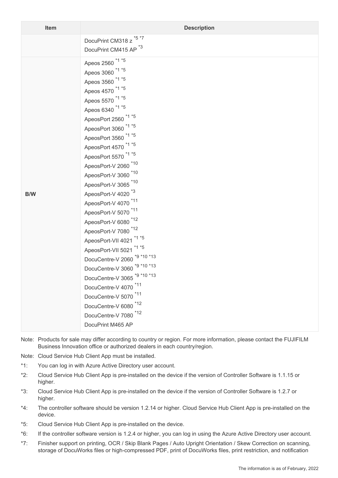| Item       | <b>Description</b>                                                                                                                                                                                                                                                                                                                                                                                                                                                                                                                                                                                                                                                                                                                                                                                                                                                                                                                                                                            |
|------------|-----------------------------------------------------------------------------------------------------------------------------------------------------------------------------------------------------------------------------------------------------------------------------------------------------------------------------------------------------------------------------------------------------------------------------------------------------------------------------------------------------------------------------------------------------------------------------------------------------------------------------------------------------------------------------------------------------------------------------------------------------------------------------------------------------------------------------------------------------------------------------------------------------------------------------------------------------------------------------------------------|
|            | DocuPrint CM318 z *5 *7<br>DocuPrint CM415 AP <sup>*3</sup>                                                                                                                                                                                                                                                                                                                                                                                                                                                                                                                                                                                                                                                                                                                                                                                                                                                                                                                                   |
| <b>B/W</b> | Apeos 2560 <sup>*1 *5</sup><br>Apeos 3060 <sup>*1</sup> *5<br>Apeos 3560 <sup>*1 *5</sup><br>Apeos 4570 <sup>*1</sup> *5<br>Apeos 5570 <sup>*1 *5</sup><br>Apeos 6340 <sup>*1 *5</sup><br>ApeosPort 2560 <sup>*1*5</sup><br>ApeosPort 3060 $*1 **5$<br>ApeosPort 3560 <sup>*1 *5</sup><br>ApeosPort 4570 <sup>*1*5</sup><br>ApeosPort 5570 <sup>*1 *5</sup><br>ApeosPort-V 2060 <sup>*10</sup><br>ApeosPort-V 3060 <sup>*10</sup><br>ApeosPort-V 3065 <sup>*10</sup><br>ApeosPort-V 4020 <sup>*3</sup><br>ApeosPort-V 4070 <sup>*11</sup><br>ApeosPort-V 5070 <sup>*11</sup><br>ApeosPort-V 6080 <sup>*12</sup><br>ApeosPort-V 7080 <sup>*12</sup><br>ApeosPort-VII 4021 *1 *5<br>ApeosPort-VII 5021 *1 *5<br>DocuCentre-V 2060 <sup>*9</sup> *10 *13<br>DocuCentre-V 3060 <sup>*9</sup> *10 *13<br>*9 *10 *13<br>DocuCentre-V 3065<br>DocuCentre-V 4070 *11<br>DocuCentre-V 5070 <sup>*11</sup><br>DocuCentre-V 6080 <sup>*12</sup><br>DocuCentre-V 7080 <sup>*12</sup><br>DocuPrint M465 AP |

- Note: Products for sale may differ according to country or region. For more information, please contact the FUJIFILM Business Innovation office or authorized dealers in each country/region.
- Note: Cloud Service Hub Client App must be installed.
- \*1: You can log in with Azure Active Directory user account.
- \*2: Cloud Service Hub Client App is pre-installed on the device if the version of Controller Software is 1.1.15 or higher.
- \*3: Cloud Service Hub Client App is pre-installed on the device if the version of Controller Software is 1.2.7 or higher.
- \*4: The controller software should be version 1.2.14 or higher. Cloud Service Hub Client App is pre-installed on the device.
- \*5: Cloud Service Hub Client App is pre-installed on the device.
- \*6: If the controller software version is 1.2.4 or higher, you can log in using the Azure Active Directory user account.
- \*7: Finisher support on printing, OCR / Skip Blank Pages / Auto Upright Orientation / Skew Correction on scanning, storage of DocuWorks files or high-compressed PDF, print of DocuWorks files, print restriction, and notification